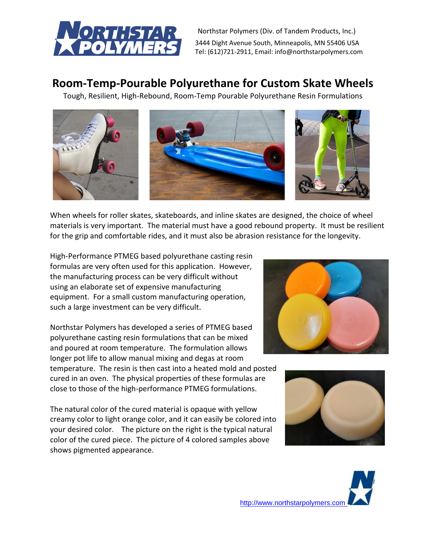

Northstar Polymers (Div. of Tandem Products, Inc.) 3444 Dight Avenue South, Minneapolis, MN 55406 USA Tel: (612)721-2911, Email: info@northstarpolymers.com

# **Room-Temp-Pourable Polyurethane for Custom Skate Wheels**

Tough, Resilient, High-Rebound, Room-Temp Pourable Polyurethane Resin Formulations



When wheels for roller skates, skateboards, and inline skates are designed, the choice of wheel materials is very important. The material must have a good rebound property. It must be resilient for the grip and comfortable rides, and it must also be abrasion resistance for the longevity.

High-Performance PTMEG based polyurethane casting resin formulas are very often used for this application. However, the manufacturing process can be very difficult without using an elaborate set of expensive manufacturing equipment. For a small custom manufacturing operation, such a large investment can be very difficult.

Northstar Polymers has developed a series of PTMEG based polyurethane casting resin formulations that can be mixed and poured at room temperature. The formulation allows longer pot life to allow manual mixing and degas at room temperature. The resin is then cast into a heated mold and posted cured in an oven. The physical properties of these formulas are close to those of the high-performance PTMEG formulations.

The natural color of the cured material is opaque with yellow creamy color to light orange color, and it can easily be colored into your desired color. The picture on the right is the typical natural color of the cured piece. The picture of 4 colored samples above shows pigmented appearance.





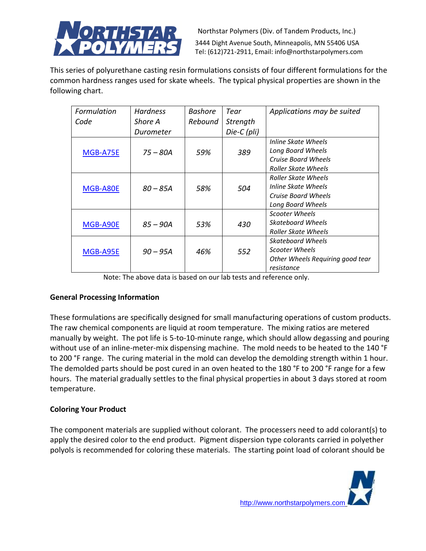

Northstar Polymers (Div. of Tandem Products, Inc.) 3444 Dight Avenue South, Minneapolis, MN 55406 USA Tel: (612)721-2911, Email: info@northstarpolymers.com

This series of polyurethane casting resin formulations consists of four different formulations for the common hardness ranges used for skate wheels. The typical physical properties are shown in the following chart.

| Formulation | <b>Hardness</b> | <b>Bashore</b> | Tear        | Applications may be suited       |
|-------------|-----------------|----------------|-------------|----------------------------------|
| Code        | Shore A         | Rebound        | Strength    |                                  |
|             | Durometer       |                | Die-C (pli) |                                  |
|             |                 |                |             | Inline Skate Wheels              |
| MGB-A75E    | $75 - 80A$      | 59%            | 389         | Long Board Wheels                |
|             |                 |                |             | Cruise Board Wheels              |
|             |                 |                |             | <b>Roller Skate Wheels</b>       |
|             |                 |                |             | Roller Skate Wheels              |
| MGB-A80E    | $80 - 85A$      | 58%            | 504         | Inline Skate Wheels              |
|             |                 |                |             | <b>Cruise Board Wheels</b>       |
|             |                 |                |             | Long Board Wheels                |
|             |                 |                |             | Scooter Wheels                   |
| MGB-A90E    | $85 - 90A$      | 53%            | 430         | Skateboard Wheels                |
|             |                 |                |             | <b>Roller Skate Wheels</b>       |
|             |                 |                |             | <b>Skateboard Wheels</b>         |
| MGB-A95E    | $90 - 95A$      | 46%            | 552         | Scooter Wheels                   |
|             |                 |                |             | Other Wheels Requiring good tear |
|             |                 |                |             | resistance                       |

Note: The above data is based on our lab tests and reference only.

# **General Processing Information**

These formulations are specifically designed for small manufacturing operations of custom products. The raw chemical components are liquid at room temperature. The mixing ratios are metered manually by weight. The pot life is 5-to-10-minute range, which should allow degassing and pouring without use of an inline-meter-mix dispensing machine. The mold needs to be heated to the 140 °F to 200 °F range. The curing material in the mold can develop the demolding strength within 1 hour. The demolded parts should be post cured in an oven heated to the 180 °F to 200 °F range for a few hours. The material gradually settles to the final physical properties in about 3 days stored at room temperature.

# **Coloring Your Product**

The component materials are supplied without colorant. The processers need to add colorant(s) to apply the desired color to the end product. Pigment dispersion type colorants carried in polyether polyols is recommended for coloring these materials. The starting point load of colorant should be